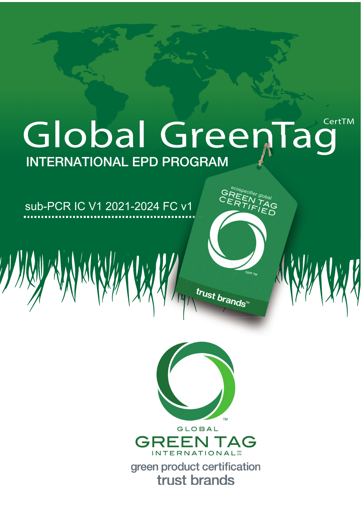# CertTM Global Green1 ag **INTERNATIONAL EPD PROGRAM**

# sub-PCR IC V1 2021-2024 FC v1





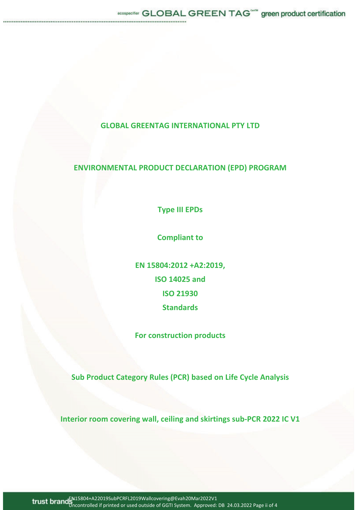## **GLOBAL GREENTAG INTERNATIONAL PTY LTD**

### **ENVIRONMENTAL PRODUCT DECLARATION (EPD) PROGRAM**

**Type III EPDs**

**Compliant to**

**EN 15804:2012 +A2:2019, ISO 14025 and ISO 21930 Standards**

**For construction products**

**Sub Product Category Rules (PCR) based on Life Cycle Analysis**

**Interior room covering wall, ceiling and skirtings subͲPCR 2022 IC V1**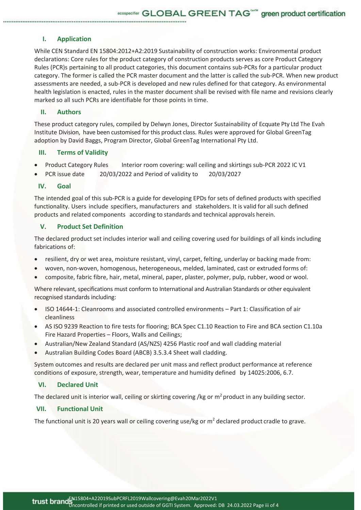ecospecifier GLOBAL GREEN TAG<sup>ome</sup> green product certification

#### **I. Application**

While CEN Standard EN 15804:2012+A2:2019 Sustainability of construction works: Environmental product declarations: Core rules for the product category of construction products serves as core Product Category Rules (PCR)s pertaining to all product categories, this document contains sub-PCRs for a particular product category. The former is called the PCR master document and the latter is called the sub-PCR. When new product assessments are needed, a sub-PCR is developed and new rules defined for that category. As environmental health legislation is enacted, rules in the master document shall be revised with file name and revisions clearly marked so all such PCRs are identifiable for those points in time.

#### **II. Authors**

These product category rules, compiled by Delwyn Jones, Director Sustainability of Ecquate Pty Ltd The Evah Institute Division, have been customised for this product class. Rules were approved for Global GreenTag adoption by David Baggs, Program Director, Global GreenTag International Pty Ltd.

#### **III. Terms of Validity**

- Product Category Rules Interior room covering: wall ceiling and skirtings sub-PCR 2022 IC V1
- PCR issue date 20/03/2022 and Period of validity to 20/03/2027

#### **IV. Goal**

The intended goal of this sub-PCR is a guide for developing EPDs for sets of defined products with specified functionality. Users include specifiers, manufacturers and stakeholders. It is valid for all such defined products and related components according to standards and technical approvals herein.

#### **V. Product Set Definition**

The declared product set includes interior wall and ceiling covering used for buildings of all kinds including fabrications of:

- resilient, dry or wet area, moisture resistant, vinyl, carpet, felting, underlay or backing made from:
- woven, non-woven, homogenous, heterogeneous, melded, laminated, cast or extruded forms of:
- composite, fabric fibre, hair, metal, mineral, paper, plaster, polymer, pulp, rubber, wood or wool.

Where relevant, specifications must conform to International and Australian Standards or other equivalent recognised standards including:

- ISO 14644-1: Cleanrooms and associated controlled environments Part 1: Classification of air cleanliness
- AS ISO 9239 Reaction to fire tests for flooring; BCA Spec C1.10 Reaction to Fire and BCA section C1.10a Fire Hazard Properties – Floors, Walls and Ceilings;
- Australian/New Zealand Standard (AS/NZS) 4256 Plastic roof and wall cladding material
- Australian Building Codes Board (ABCB) 3.5.3.4 Sheet wall cladding.

System outcomes and results are declared per unit mass and reflect product performance at reference conditions of exposure, strength, wear, temperature and humidity defined by 14025:2006, 6.7.

#### **VI. Declared Unit**

The declared unit is interior wall, ceiling or skirting covering /kg or  $m<sup>2</sup>$  product in any building sector.

#### **VII. Functional Unit**

The functional unit is 20 years wall or ceiling covering use/kg or  $m<sup>2</sup>$  declared product cradle to grave.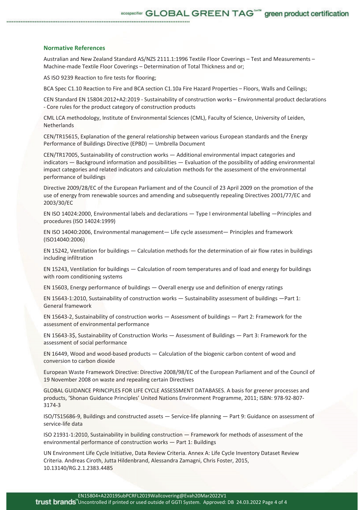#### **Normative References**

Australian and New Zealand Standard AS/NZS 2111.1:1996 Textile Floor Coverings – Test and Measurements – Machine-made Textile Floor Coverings – Determination of Total Thickness and or;

AS ISO 9239 Reaction to fire tests for flooring;

BCA Spec C1.10 Reaction to Fire and BCA section C1.10a Fire Hazard Properties – Floors, Walls and Ceilings;

CEN Standard EN 15804:2012+A2:2019 - Sustainability of construction works – Environmental product declarations - Core rules for the product category of construction products

CML LCA methodology, Institute of Environmental Sciences (CML), Faculty of Science, University of Leiden, Netherlands

CEN/TR15615, Explanation of the general relationship between various European standards and the Energy Performance of Buildings Directive (EPBD) — Umbrella Document

CEN/TR17005, Sustainability of construction works — Additional environmental impact categories and indicators — Background information and possibilities — Evaluation of the possibility of adding environmental impact categories and related indicators and calculation methods for the assessment of the environmental performance of buildings

Directive 2009/28/EC of the European Parliament and of the Council of 23 April 2009 on the promotion of the use of energy from renewable sources and amending and subsequently repealing Directives 2001/77/EC and 2003/30/EC

EN ISO 14024:2000, Environmental labels and declarations — Type I environmental labelling —Principles and procedures (ISO 14024:1999)

EN ISO 14040:2006, Environmental management— Life cycle assessment— Principles and framework (ISO14040:2006)

EN 15242, Ventilation for buildings — Calculation methods for the determination of air flow rates in buildings including infiltration

EN 15243, Ventilation for buildings — Calculation of room temperatures and of load and energy for buildings with room conditioning systems

EN 15603, Energy performance of buildings — Overall energy use and definition of energy ratings

EN 15643-1:2010, Sustainability of construction works — Sustainability assessment of buildings —Part 1: General framework

EN 15643Ͳ2, Sustainability of construction works — Assessment of buildings — Part 2: Framework for the assessment of environmental performance

EN 15643-3\$, Sustainability of Construction Works — Assessment of Buildings — Part 3: Framework for the assessment of social performance

EN 16449, Wood and wood-based products — Calculation of the biogenic carbon content of wood and conversion to carbon dioxide

European Waste Framework Directive: Directive 2008/98/EC of the European Parliament and of the Council of 19 November 2008 on waste and repealing certain Directives

GLOBAL GUIDANCE PRINCIPLES FOR LIFE CYCLE ASSESSMENT DATABASES. A basis for greener processes and products, 'Shonan Guidance Principles' United Nations Environment Programme, 2011; ISBN: 978-92-807-3174-3

ISO/TS15686-9, Buildings and constructed assets — Service-life planning — Part 9: Guidance on assessment of service-life data

ISO 21931-1:2010, Sustainability in building construction — Framework for methods of assessment of the environmental performance of construction works — Part 1: Buildings

UN Environment Life Cycle Initiative, Data Review Criteria. Annex A: Life Cycle Inventory Dataset Review Criteria. Andreas Ciroth, Jutta Hildenbrand, Alessandra Zamagni, Chris Foster, 2015, 10.13140/RG.2.1.2383.4485